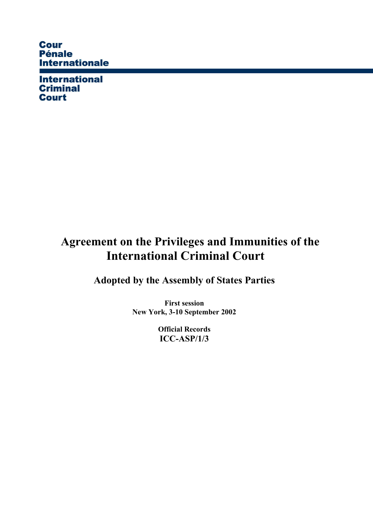### **Cour** Pénale **Internationale**

**International Criminal Court** 

# **Agreement on the Privileges and Immunities of the International Criminal Court**

**Adopted by the Assembly of States Parties** 

**First session New York, 3-10 September 2002** 

> **Official Records ICC-ASP/1/3**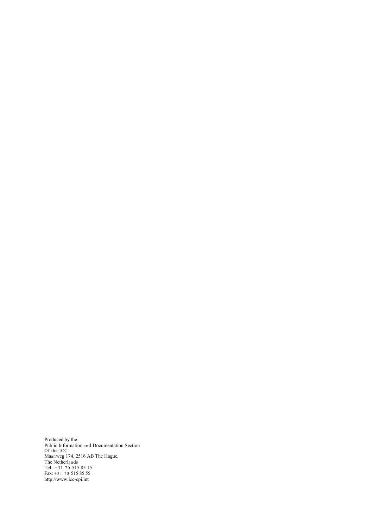Produced by the Public Information and Documentation Section Of the ICC Maanweg 174, 2516 AB The Hague, The Netherlands Tel.: +31 70 515 85 15 Fax: +31 70 515 85 55 http://www.icc-cpi.int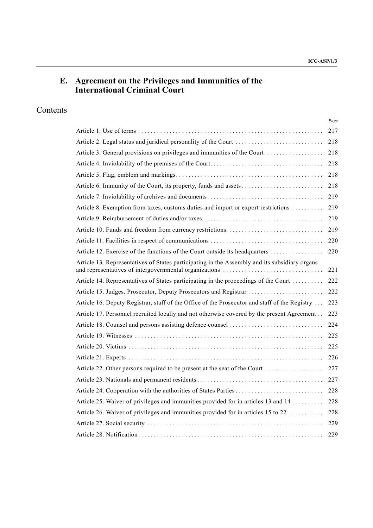# E. Agreement on the Privileges and Immunities of the<br>International Criminal Court

### Contents

|                                                                                               | Page |
|-----------------------------------------------------------------------------------------------|------|
|                                                                                               | 217  |
|                                                                                               | 218  |
|                                                                                               | 218  |
|                                                                                               | 218  |
|                                                                                               | 218  |
|                                                                                               | 218  |
|                                                                                               | 219  |
| Article 8. Exemption from taxes, customs duties and import or export restrictions             | 219  |
|                                                                                               | 219  |
|                                                                                               | 219  |
|                                                                                               | 220  |
| Article 12. Exercise of the functions of the Court outside its headquarters                   | 220  |
| Article 13. Representatives of States participating in the Assembly and its subsidiary organs | 221  |
| Article 14. Representatives of States participating in the proceedings of the Court           | 222  |
|                                                                                               | 222  |
| Article 16. Deputy Registrar, staff of the Office of the Prosecutor and staff of the Registry | 223  |
| Article 17. Personnel recruited locally and not otherwise covered by the present Agreement    | 223  |
|                                                                                               | 224  |
|                                                                                               | 225  |
|                                                                                               | 225  |
|                                                                                               | 226  |
|                                                                                               | 227  |
|                                                                                               | 227  |
|                                                                                               | 228  |
| Article 25. Waiver of privileges and immunities provided for in articles 13 and 14            | 228  |
| Article 26. Waiver of privileges and immunities provided for in articles 15 to 22             | 228  |
|                                                                                               | 229  |
|                                                                                               | 229  |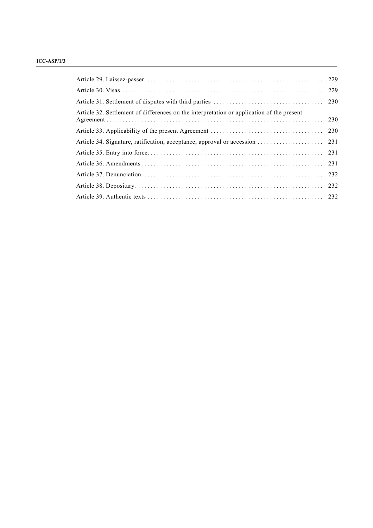|                                                                                           | 229 |
|-------------------------------------------------------------------------------------------|-----|
|                                                                                           | 229 |
|                                                                                           | 230 |
| Article 32. Settlement of differences on the interpretation or application of the present | 230 |
|                                                                                           | 230 |
|                                                                                           | 231 |
|                                                                                           | 231 |
|                                                                                           | 231 |
|                                                                                           | 232 |
|                                                                                           | 232 |
|                                                                                           | 232 |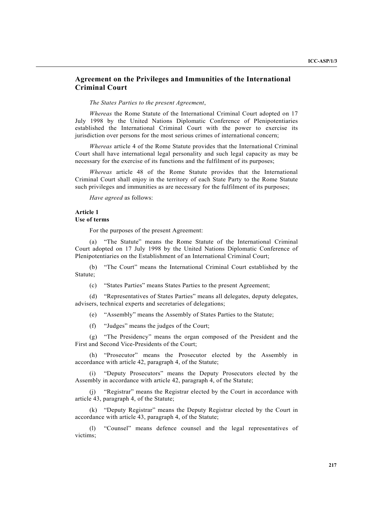### Agreement on the Privileges and Immunities of the International **Criminal Court**

The States Parties to the present Agreement,

*Whereas* the Rome Statute of the International Criminal Court adopted on 17 July 1998 by the United Nations Diplomatic Conference of Plenipotentiaries established the International Criminal Court with the power to exercise its jurisdiction over persons for the most serious crimes of international concern:

Whereas article 4 of the Rome Statute provides that the International Criminal Court shall have international legal personality and such legal capacity as may be necessary for the exercise of its functions and the fulfilment of its purposes;

Whereas article 48 of the Rome Statute provides that the International Criminal Court shall enjoy in the territory of each State Party to the Rome Statute such privileges and immunities as are necessary for the fulfilment of its purposes;

Have agreed as follows:

#### **Article 1** Use of terms

For the purposes of the present Agreement:

(a) "The Statute" means the Rome Statute of the International Criminal Court adopted on 17 July 1998 by the United Nations Diplomatic Conference of Plenipotentiaries on the Establishment of an International Criminal Court;

 $(b)$ "The Court" means the International Criminal Court established by the Statute;

(c) "States Parties" means States Parties to the present Agreement:

(d) "Representatives of States Parties" means all delegates, deputy delegates, advisers, technical experts and secretaries of delegations;

(e) "Assembly" means the Assembly of States Parties to the Statute;

"Judges" means the judges of the Court;  $(f)$ 

(g) "The Presidency" means the organ composed of the President and the First and Second Vice-Presidents of the Court;

(h) "Prosecutor" means the Prosecutor elected by the Assembly in accordance with article 42, paragraph 4, of the Statute;

"Deputy Prosecutors" means the Deputy Prosecutors elected by the  $(i)$ Assembly in accordance with article 42, paragraph 4, of the Statute;

"Registrar" means the Registrar elected by the Court in accordance with  $(i)$ article 43, paragraph 4, of the Statute;

(k) "Deputy Registrar" means the Deputy Registrar elected by the Court in accordance with article 43, paragraph 4, of the Statute;

"Counsel" means defence counsel and the legal representatives of  $(1)$ victims: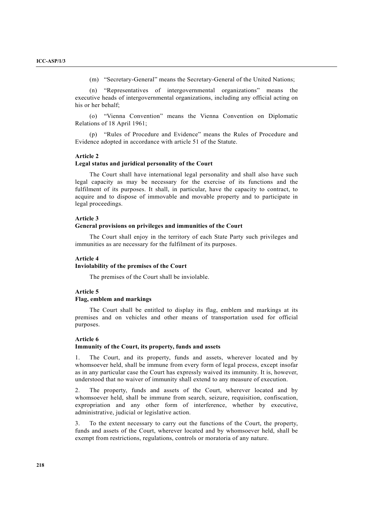(m) "Secretary-General" means the Secretary-General of the United Nations;

(n) "Representatives of intergovernmental organizations" means the executive heads of intergovernmental organizations, including any official acting on his or her behalf;

(o) "Vienna Convention" means the Vienna Convention on Diplomatic Relations of 18 April 1961;

(p) "Rules of Procedure and Evidence" means the Rules of Procedure and Evidence adopted in accordance with article 51 of the Statute.

### **Article 2**

### Legal status and juridical personality of the Court

The Court shall have international legal personality and shall also have such legal capacity as may be necessary for the exercise of its functions and the fulfilment of its purposes. It shall, in particular, have the capacity to contract, to acquire and to dispose of immovable and movable property and to participate in legal proceedings.

### Article 3

### General provisions on privileges and immunities of the Court

The Court shall enjoy in the territory of each State Party such privileges and immunities as are necessary for the fulfilment of its purposes.

### Article 4

### Inviolability of the premises of the Court

The premises of the Court shall be inviolable.

#### Article 5

#### Flag, emblem and markings

The Court shall be entitled to display its flag, emblem and markings at its premises and on vehicles and other means of transportation used for official purposes.

#### Article 6

### Immunity of the Court, its property, funds and assets

The Court, and its property, funds and assets, wherever located and by  $\mathbf{1}$ whomsoever held, shall be immune from every form of legal process, except insofar as in any particular case the Court has expressly waived its immunity. It is, however, understood that no waiver of immunity shall extend to any measure of execution.

The property, funds and assets of the Court, wherever located and by 2. whomsoever held, shall be immune from search, seizure, requisition, confiscation, expropriation and any other form of interference, whether by executive, administrative, judicial or legislative action.

To the extent necessary to carry out the functions of the Court, the property,  $\mathcal{F}$ funds and assets of the Court, wherever located and by whomsoever held, shall be exempt from restrictions, regulations, controls or moratoria of any nature.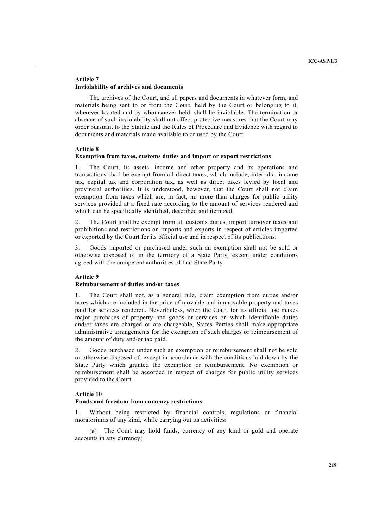### Article 7 Inviolability of archives and documents

The archives of the Court, and all papers and documents in whatever form, and materials being sent to or from the Court, held by the Court or belonging to it, wherever located and by whomsoever held, shall be inviolable. The termination or absence of such inviolability shall not affect protective measures that the Court may order pursuant to the Statute and the Rules of Procedure and Evidence with regard to documents and materials made available to or used by the Court.

### Article 8

### Exemption from taxes, customs duties and import or export restrictions

 $\mathbf{1}$ The Court, its assets, income and other property and its operations and transactions shall be exempt from all direct taxes, which include, inter alia, income tax, capital tax and corporation tax, as well as direct taxes levied by local and provincial authorities. It is understood, however, that the Court shall not claim exemption from taxes which are, in fact, no more than charges for public utility services provided at a fixed rate according to the amount of services rendered and which can be specifically identified, described and itemized.

The Court shall be exempt from all customs duties, import turnover taxes and 2. prohibitions and restrictions on imports and exports in respect of articles imported or exported by the Court for its official use and in respect of its publications.

 $\mathcal{L}$ Goods imported or purchased under such an exemption shall not be sold or otherwise disposed of in the territory of a State Party, except under conditions agreed with the competent authorities of that State Party.

### Article 9

### Reimbursement of duties and/or taxes

1. The Court shall not, as a general rule, claim exemption from duties and/or taxes which are included in the price of movable and immovable property and taxes paid for services rendered. Nevertheless, when the Court for its official use makes major purchases of property and goods or services on which identifiable duties and/or taxes are charged or are chargeable, States Parties shall make appropriate administrative arrangements for the exemption of such charges or reimbursement of the amount of duty and/or tax paid.

Goods purchased under such an exemption or reimbursement shall not be sold  $\mathcal{D}$ or otherwise disposed of, except in accordance with the conditions laid down by the State Party which granted the exemption or reimbursement. No exemption or reimbursement shall be accorded in respect of charges for public utility services provided to the Court.

### Article 10

### Funds and freedom from currency restrictions

Without being restricted by financial controls, regulations or financial  $\mathbf{1}$ moratoriums of any kind, while carrying out its activities:

(a) The Court may hold funds, currency of any kind or gold and operate accounts in any currency;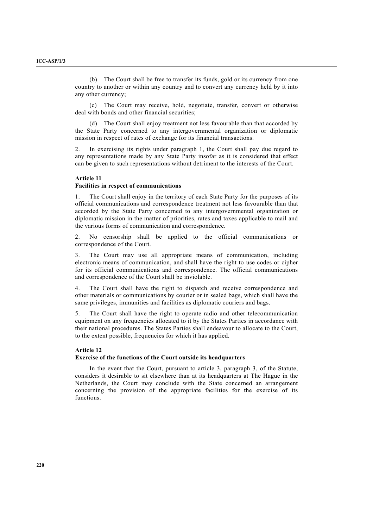(b) The Court shall be free to transfer its funds, gold or its currency from one country to another or within any country and to convert any currency held by it into any other currency;

(c) The Court may receive, hold, negotiate, transfer, convert or otherwise deal with bonds and other financial securities;

(d) The Court shall enjoy treatment not less favourable than that accorded by the State Party concerned to any intergovernmental organization or diplomatic mission in respect of rates of exchange for its financial transactions.

 $2^{\circ}$ In exercising its rights under paragraph 1, the Court shall pay due regard to any representations made by any State Party insofar as it is considered that effect can be given to such representations without detriment to the interests of the Court.

### Article 11

### Facilities in respect of communications

The Court shall enjoy in the territory of each State Party for the purposes of its  $\mathbf{1}$ official communications and correspondence treatment not less favourable than that accorded by the State Party concerned to any intergovernmental organization or diplomatic mission in the matter of priorities, rates and taxes applicable to mail and the various forms of communication and correspondence.

2. No censorship shall be applied to the official communications or correspondence of the Court.

The Court may use all appropriate means of communication, including  $\mathcal{F}$ electronic means of communication, and shall have the right to use codes or cipher for its official communications and correspondence. The official communications and correspondence of the Court shall be inviolable.

The Court shall have the right to dispatch and receive correspondence and  $\overline{4}$ other materials or communications by courier or in sealed bags, which shall have the same privileges, immunities and facilities as diplomatic couriers and bags.

The Court shall have the right to operate radio and other telecommunication  $\mathcal{F}$ equipment on any frequencies allocated to it by the States Parties in accordance with their national procedures. The States Parties shall endeavour to allocate to the Court, to the extent possible, frequencies for which it has applied.

#### Article 12

### **Exercise of the functions of the Court outside its headquarters**

In the event that the Court, pursuant to article 3, paragraph 3, of the Statute, considers it desirable to sit elsewhere than at its headquarters at The Hague in the Netherlands, the Court may conclude with the State concerned an arrangement concerning the provision of the appropriate facilities for the exercise of its functions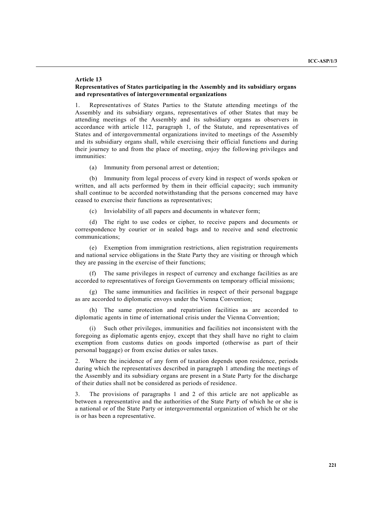### Article 13

### Representatives of States participating in the Assembly and its subsidiary organs and representatives of intergovernmental organizations

 $\mathbf{1}$ Representatives of States Parties to the Statute attending meetings of the Assembly and its subsidiary organs, representatives of other States that may be attending meetings of the Assembly and its subsidiary organs as observers in accordance with article 112, paragraph 1, of the Statute, and representatives of States and of intergovernmental organizations invited to meetings of the Assembly and its subsidiary organs shall, while exercising their official functions and during their journey to and from the place of meeting, enjoy the following privileges and immunities:

 $(a)$ Immunity from personal arrest or detention;

(b) Immunity from legal process of every kind in respect of words spoken or written, and all acts performed by them in their official capacity; such immunity shall continue to be accorded notwithstanding that the persons concerned may have ceased to exercise their functions as representatives;

(c) Inviolability of all papers and documents in whatever form;

(d) The right to use codes or cipher, to receive papers and documents or correspondence by courier or in sealed bags and to receive and send electronic communications:

(e) Exemption from immigration restrictions, alien registration requirements and national service obligations in the State Party they are visiting or through which they are passing in the exercise of their functions:

The same privileges in respect of currency and exchange facilities as are  $(f)$ accorded to representatives of foreign Governments on temporary official missions;

(g) The same immunities and facilities in respect of their personal baggage as are accorded to diplomatic envoys under the Vienna Convention;

(h) The same protection and repatriation facilities as are accorded to diplomatic agents in time of international crisis under the Vienna Convention;

Such other privileges, immunities and facilities not inconsistent with the  $(i)$ foregoing as diplomatic agents enjoy, except that they shall have no right to claim exemption from customs duties on goods imported (otherwise as part of their personal baggage) or from excise duties or sales taxes.

Where the incidence of any form of taxation depends upon residence, periods 2. during which the representatives described in paragraph 1 attending the meetings of the Assembly and its subsidiary organs are present in a State Party for the discharge of their duties shall not be considered as periods of residence.

The provisions of paragraphs 1 and 2 of this article are not applicable as  $3<sub>1</sub>$ between a representative and the authorities of the State Party of which he or she is a national or of the State Party or intergovernmental organization of which he or she is or has been a representative.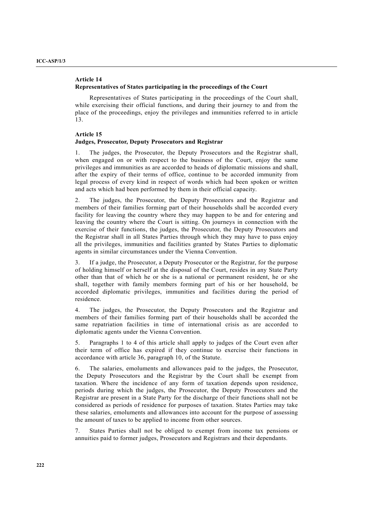### **Article 14** Representatives of States participating in the proceedings of the Court

Representatives of States participating in the proceedings of the Court shall, while exercising their official functions, and during their journey to and from the place of the proceedings, enjoy the privileges and immunities referred to in article  $13$ 

### **Article 15**

### **Judges, Prosecutor, Deputy Prosecutors and Registrar**

 $\mathbf{1}$ The judges, the Prosecutor, the Deputy Prosecutors and the Registrar shall, when engaged on or with respect to the business of the Court, enjoy the same privileges and immunities as are accorded to heads of diplomatic missions and shall, after the expiry of their terms of office, continue to be accorded immunity from legal process of every kind in respect of words which had been spoken or written and acts which had been performed by them in their official capacity.

The judges, the Prosecutor, the Deputy Prosecutors and the Registrar and 2. members of their families forming part of their households shall be accorded every facility for leaving the country where they may happen to be and for entering and leaving the country where the Court is sitting. On journeys in connection with the exercise of their functions, the judges, the Prosecutor, the Deputy Prosecutors and the Registrar shall in all States Parties through which they may have to pass enjoy all the privileges, immunities and facilities granted by States Parties to diplomatic agents in similar circumstances under the Vienna Convention.

If a judge, the Prosecutor, a Deputy Prosecutor or the Registrar, for the purpose  $3<sub>1</sub>$ of holding himself or herself at the disposal of the Court, resides in any State Party other than that of which he or she is a national or permanent resident, he or she shall, together with family members forming part of his or her household, be accorded diplomatic privileges, immunities and facilities during the period of residence.

 $\overline{4}$ . The judges, the Prosecutor, the Deputy Prosecutors and the Registrar and members of their families forming part of their households shall be accorded the same repatriation facilities in time of international crisis as are accorded to diplomatic agents under the Vienna Convention.

Paragraphs 1 to 4 of this article shall apply to judges of the Court even after .5 their term of office has expired if they continue to exercise their functions in accordance with article 36, paragraph 10, of the Statute.

6 The salaries, emoluments and allowances paid to the judges, the Prosecutor, the Deputy Prosecutors and the Registrar by the Court shall be exempt from taxation. Where the incidence of any form of taxation depends upon residence, periods during which the judges, the Prosecutor, the Deputy Prosecutors and the Registrar are present in a State Party for the discharge of their functions shall not be considered as periods of residence for purposes of taxation. States Parties may take these salaries, emoluments and allowances into account for the purpose of assessing the amount of taxes to be applied to income from other sources.

States Parties shall not be obliged to exempt from income tax pensions or  $\tau$ annuities paid to former judges. Prosecutors and Registrars and their dependants.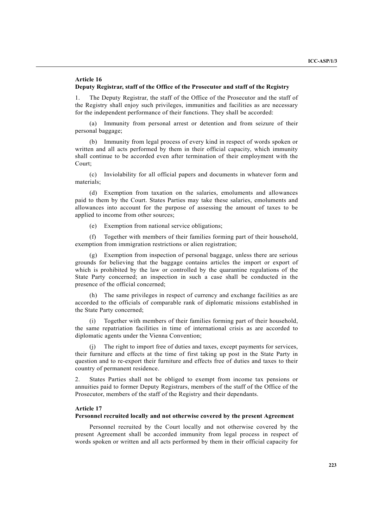### Article 16 Deputy Registrar, staff of the Office of the Prosecutor and staff of the Registry

The Deputy Registrar, the staff of the Office of the Prosecutor and the staff of  $\mathbf{1}$ the Registry shall enjoy such privileges, immunities and facilities as are necessary for the independent performance of their functions. They shall be accorded:

Immunity from personal arrest or detention and from seizure of their  $(a)$ personal baggage;

(b) Immunity from legal process of every kind in respect of words spoken or written and all acts performed by them in their official capacity, which immunity shall continue to be accorded even after termination of their employment with the Court:

Inviolability for all official papers and documents in whatever form and  $(c)$ materials<sup>-</sup>

(d) Exemption from taxation on the salaries, emoluments and allowances paid to them by the Court. States Parties may take these salaries, emoluments and allowances into account for the purpose of assessing the amount of taxes to be applied to income from other sources:

(e) Exemption from national service obligations;

Together with members of their families forming part of their household,  $(f)$ exemption from immigration restrictions or alien registration;

 $(g)$  Exemption from inspection of personal baggage, unless there are serious grounds for believing that the baggage contains articles the import or export of which is prohibited by the law or controlled by the quarantine regulations of the State Party concerned; an inspection in such a case shall be conducted in the presence of the official concerned;

(h) The same privileges in respect of currency and exchange facilities as are accorded to the officials of comparable rank of diplomatic missions established in the State Party concerned;

Together with members of their families forming part of their household,  $(i)$ the same repatriation facilities in time of international crisis as are accorded to diplomatic agents under the Vienna Convention;

The right to import free of duties and taxes, except payments for services, their furniture and effects at the time of first taking up post in the State Party in question and to re-export their furniture and effects free of duties and taxes to their country of permanent residence.

States Parties shall not be obliged to exempt from income tax pensions or 2. annuities paid to former Deputy Registrars, members of the staff of the Office of the Prosecutor, members of the staff of the Registry and their dependants.

### Article 17

### Personnel recruited locally and not otherwise covered by the present Agreement

Personnel recruited by the Court locally and not otherwise covered by the present Agreement shall be accorded immunity from legal process in respect of words spoken or written and all acts performed by them in their official capacity for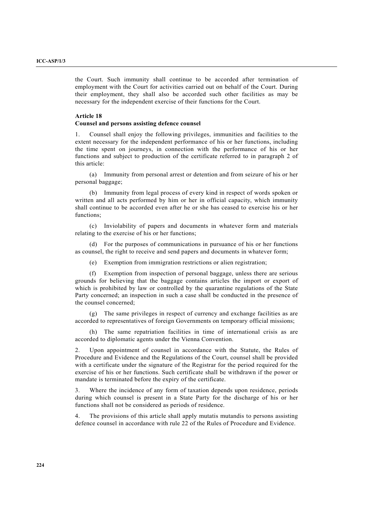the Court. Such immunity shall continue to be accorded after termination of employment with the Court for activities carried out on behalf of the Court. During their employment, they shall also be accorded such other facilities as may be necessary for the independent exercise of their functions for the Court.

#### **Article 18**

### Counsel and persons assisting defence counsel

Counsel shall enjoy the following privileges, immunities and facilities to the  $\mathbf{1}$ extent necessary for the independent performance of his or her functions, including the time spent on journeys, in connection with the performance of his or her functions and subject to production of the certificate referred to in paragraph 2 of this article:

(a) Immunity from personal arrest or detention and from seizure of his or her personal baggage;

(b) Immunity from legal process of every kind in respect of words spoken or written and all acts performed by him or her in official capacity, which immunity shall continue to be accorded even after he or she has ceased to exercise his or her functions:

(c) Inviolability of papers and documents in whatever form and materials relating to the exercise of his or her functions;

(d) For the purposes of communications in pursuance of his or her functions as counsel, the right to receive and send papers and documents in whatever form;

(e) Exemption from immigration restrictions or alien registration;

(f) Exemption from inspection of personal baggage, unless there are serious grounds for believing that the baggage contains articles the import or export of which is prohibited by law or controlled by the quarantine regulations of the State Party concerned; an inspection in such a case shall be conducted in the presence of the counsel concerned;

 $(g)$  The same privileges in respect of currency and exchange facilities as are accorded to representatives of foreign Governments on temporary official missions;

(h) The same repatriation facilities in time of international crisis as are accorded to diplomatic agents under the Vienna Convention.

Upon appointment of counsel in accordance with the Statute, the Rules of  $\mathcal{L}$ Procedure and Evidence and the Regulations of the Court, counsel shall be provided with a certificate under the signature of the Registrar for the period required for the exercise of his or her functions. Such certificate shall be withdrawn if the power or mandate is terminated before the expiry of the certificate.

Where the incidence of any form of taxation depends upon residence, periods  $\mathcal{E}$ during which counsel is present in a State Party for the discharge of his or her functions shall not be considered as periods of residence.

The provisions of this article shall apply mutatis mutandis to persons assisting  $\overline{4}$ defence counsel in accordance with rule 22 of the Rules of Procedure and Evidence.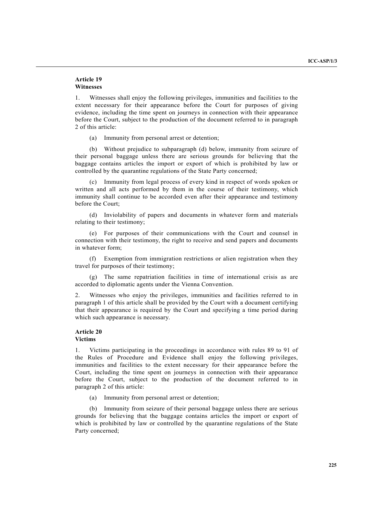### **Article 19 Witnesses**

Witnesses shall enjoy the following privileges, immunities and facilities to the  $\mathbf{1}$ extent necessary for their appearance before the Court for purposes of giving evidence, including the time spent on journeys in connection with their appearance before the Court, subject to the production of the document referred to in paragraph 2 of this article:

 $(a)$ Immunity from personal arrest or detention;

Without prejudice to subparagraph (d) below, immunity from seizure of  $(h)$ their personal baggage unless there are serious grounds for believing that the baggage contains articles the import or export of which is prohibited by law or controlled by the quarantine regulations of the State Party concerned;

(c) Immunity from legal process of every kind in respect of words spoken or written and all acts performed by them in the course of their testimony, which immunity shall continue to be accorded even after their appearance and testimony before the Court:

(d) Inviolability of papers and documents in whatever form and materials relating to their testimony;

(e) For purposes of their communications with the Court and counsel in connection with their testimony, the right to receive and send papers and documents in whatever form;

Exemption from immigration restrictions or alien registration when they  $(f)$ travel for purposes of their testimony;

(g) The same repatriation facilities in time of international crisis as are accorded to diplomatic agents under the Vienna Convention.

Witnesses who enjoy the privileges, immunities and facilities referred to in 2. paragraph 1 of this article shall be provided by the Court with a document certifying that their appearance is required by the Court and specifying a time period during which such appearance is necessary.

### **Article 20**

### **Victims**

 $\mathbf{1}$ . Victims participating in the proceedings in accordance with rules 89 to 91 of the Rules of Procedure and Evidence shall enjoy the following privileges, immunities and facilities to the extent necessary for their appearance before the Court, including the time spent on journeys in connection with their appearance before the Court, subject to the production of the document referred to in paragraph 2 of this article:

(a) Immunity from personal arrest or detention;

(b) Immunity from seizure of their personal baggage unless there are serious grounds for believing that the baggage contains articles the import or export of which is prohibited by law or controlled by the quarantine regulations of the State Party concerned: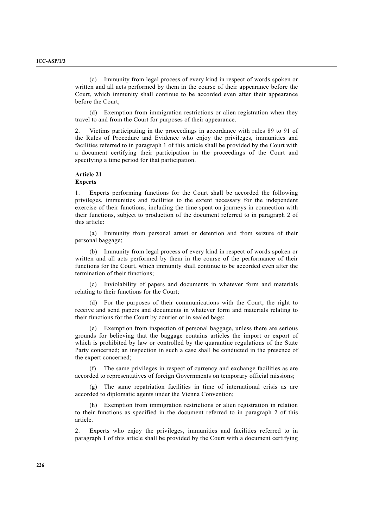(c) Immunity from legal process of every kind in respect of words spoken or written and all acts performed by them in the course of their appearance before the Court, which immunity shall continue to be accorded even after their appearance before the Court;

(d) Exemption from immigration restrictions or alien registration when they travel to and from the Court for purposes of their appearance.

Victims participating in the proceedings in accordance with rules 89 to 91 of  $\mathcal{D}$ the Rules of Procedure and Evidence who enjoy the privileges, immunities and facilities referred to in paragraph 1 of this article shall be provided by the Court with a document certifying their participation in the proceedings of the Court and specifying a time period for that participation.

### **Article 21 Experts**

Experts performing functions for the Court shall be accorded the following  $\mathbf{1}$ privileges, immunities and facilities to the extent necessary for the independent exercise of their functions, including the time spent on journeys in connection with their functions, subject to production of the document referred to in paragraph 2 of this article:

(a) Immunity from personal arrest or detention and from seizure of their personal baggage;

(b) Immunity from legal process of every kind in respect of words spoken or written and all acts performed by them in the course of the performance of their functions for the Court, which immunity shall continue to be accorded even after the termination of their functions:

(c) Inviolability of papers and documents in whatever form and materials relating to their functions for the Court;

(d) For the purposes of their communications with the Court, the right to receive and send papers and documents in whatever form and materials relating to their functions for the Court by courier or in sealed bags;

Exemption from inspection of personal baggage, unless there are serious  $(e)$ grounds for believing that the baggage contains articles the import or export of which is prohibited by law or controlled by the quarantine regulations of the State Party concerned; an inspection in such a case shall be conducted in the presence of the expert concerned;

The same privileges in respect of currency and exchange facilities as are  $(f)$ accorded to representatives of foreign Governments on temporary official missions;

(g) The same repatriation facilities in time of international crisis as are accorded to diplomatic agents under the Vienna Convention;

(h) Exemption from immigration restrictions or alien registration in relation to their functions as specified in the document referred to in paragraph 2 of this article.

 $\gamma$ Experts who enjoy the privileges, immunities and facilities referred to in paragraph 1 of this article shall be provided by the Court with a document certifying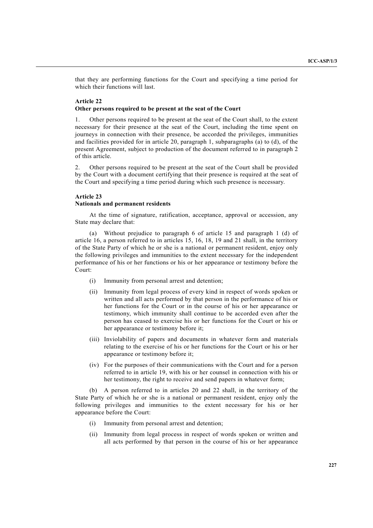that they are performing functions for the Court and specifying a time period for which their functions will last.

### **Article 22**

### Other persons required to be present at the seat of the Court

 $\mathbf{1}$ Other persons required to be present at the seat of the Court shall, to the extent necessary for their presence at the seat of the Court, including the time spent on journeys in connection with their presence, be accorded the privileges, immunities and facilities provided for in article 20, paragraph 1, subparagraphs (a) to (d), of the present Agreement, subject to production of the document referred to in paragraph 2 of this article.

 $\mathcal{D}$ Other persons required to be present at the seat of the Court shall be provided by the Court with a document certifying that their presence is required at the seat of the Court and specifying a time period during which such presence is necessary.

### **Article 23**

### **Nationals and permanent residents**

At the time of signature, ratification, acceptance, approval or accession, any State may declare that:

(a) Without prejudice to paragraph 6 of article 15 and paragraph 1 (d) of article 16, a person referred to in articles 15, 16, 18, 19 and 21 shall, in the territory of the State Party of which he or she is a national or permanent resident, enjoy only the following privileges and immunities to the extent necessary for the independent performance of his or her functions or his or her appearance or testimony before the Court:

- Immunity from personal arrest and detention;  $(i)$
- (ii) Immunity from legal process of every kind in respect of words spoken or written and all acts performed by that person in the performance of his or her functions for the Court or in the course of his or her appearance or testimony, which immunity shall continue to be accorded even after the person has ceased to exercise his or her functions for the Court or his or her appearance or testimony before it:
- (iii) Inviolability of papers and documents in whatever form and materials relating to the exercise of his or her functions for the Court or his or her appearance or testimony before it:
- (iv) For the purposes of their communications with the Court and for a person referred to in article 19, with his or her counsel in connection with his or her testimony, the right to receive and send papers in whatever form;

(b) A person referred to in articles 20 and 22 shall, in the territory of the State Party of which he or she is a national or permanent resident, enjoy only the following privileges and immunities to the extent necessary for his or her appearance before the Court:

- Immunity from personal arrest and detention;  $(i)$
- (ii) Immunity from legal process in respect of words spoken or written and all acts performed by that person in the course of his or her appearance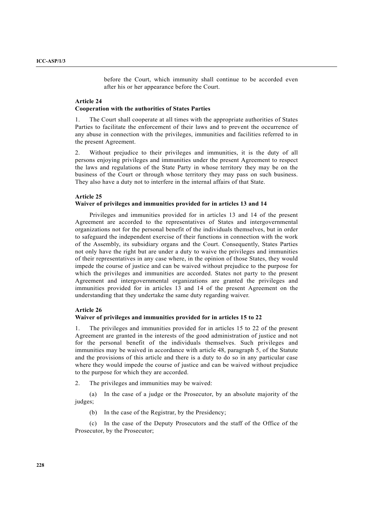before the Court, which immunity shall continue to be accorded even after his or her appearance before the Court.

### Article 24

### **Cooperation with the authorities of States Parties**

 $\mathbf{1}$ The Court shall cooperate at all times with the appropriate authorities of States Parties to facilitate the enforcement of their laws and to prevent the occurrence of any abuse in connection with the privileges, immunities and facilities referred to in the present Agreement.

Without prejudice to their privileges and immunities, it is the duty of all  $\mathcal{L}$ persons enjoying privileges and immunities under the present Agreement to respect the laws and regulations of the State Party in whose territory they may be on the business of the Court or through whose territory they may pass on such business. They also have a duty not to interfere in the internal affairs of that State.

#### Article 25

### Waiver of privileges and immunities provided for in articles 13 and 14

Privileges and immunities provided for in articles 13 and 14 of the present Agreement are accorded to the representatives of States and intergovernmental organizations not for the personal benefit of the individuals themselves, but in order to safeguard the independent exercise of their functions in connection with the work of the Assembly, its subsidiary organs and the Court. Consequently, States Parties not only have the right but are under a duty to waive the privileges and immunities of their representatives in any case where, in the opinion of those States, they would impede the course of justice and can be waived without prejudice to the purpose for which the privileges and immunities are accorded. States not party to the present Agreement and intergovernmental organizations are granted the privileges and immunities provided for in articles 13 and 14 of the present Agreement on the understanding that they undertake the same duty regarding waiver.

### **Article 26**

### Waiver of privileges and immunities provided for in articles 15 to 22

The privileges and immunities provided for in articles 15 to 22 of the present  $\mathbf{1}$ Agreement are granted in the interests of the good administration of justice and not for the personal benefit of the individuals themselves. Such privileges and immunities may be waived in accordance with article 48, paragraph 5, of the Statute and the provisions of this article and there is a duty to do so in any particular case where they would impede the course of justice and can be waived without prejudice to the purpose for which they are accorded.

The privileges and immunities may be waived:  $2^{\circ}$ 

In the case of a judge or the Prosecutor, by an absolute majority of the  $(a)$ judges;

(b) In the case of the Registrar, by the Presidency;

In the case of the Deputy Prosecutors and the staff of the Office of the  $(c)$ Prosecutor, by the Prosecutor;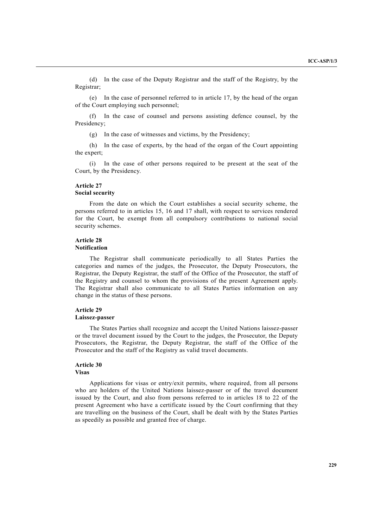(d) In the case of the Deputy Registrar and the staff of the Registry, by the Registrar;

(e) In the case of personnel referred to in article 17, by the head of the organ of the Court employing such personnel;

In the case of counsel and persons assisting defence counsel, by the  $(f)$ Presidency:

 $(g)$  In the case of witnesses and victims, by the Presidency;

(h) In the case of experts, by the head of the organ of the Court appointing the expert;

(i) In the case of other persons required to be present at the seat of the Court, by the Presidency.

### Article 27 **Social security**

From the date on which the Court establishes a social security scheme, the persons referred to in articles 15, 16 and 17 shall, with respect to services rendered for the Court, be exempt from all compulsory contributions to national social security schemes.

### Article 28 **Notification**

The Registrar shall communicate periodically to all States Parties the categories and names of the judges, the Prosecutor, the Deputy Prosecutors, the Registrar, the Deputy Registrar, the staff of the Office of the Prosecutor, the staff of the Registry and counsel to whom the provisions of the present Agreement apply. The Registrar shall also communicate to all States Parties information on any change in the status of these persons.

### **Article 29**

### Laissez-passer

The States Parties shall recognize and accept the United Nations laissez-passer or the travel document issued by the Court to the judges, the Prosecutor, the Deputy Prosecutors, the Registrar, the Deputy Registrar, the staff of the Office of the Prosecutor and the staff of the Registry as valid travel documents.

### Article 30

#### **Visas**

Applications for visas or entry/exit permits, where required, from all persons who are holders of the United Nations laissez-passer or of the travel document issued by the Court, and also from persons referred to in articles 18 to 22 of the present Agreement who have a certificate issued by the Court confirming that they are travelling on the business of the Court, shall be dealt with by the States Parties as speedily as possible and granted free of charge.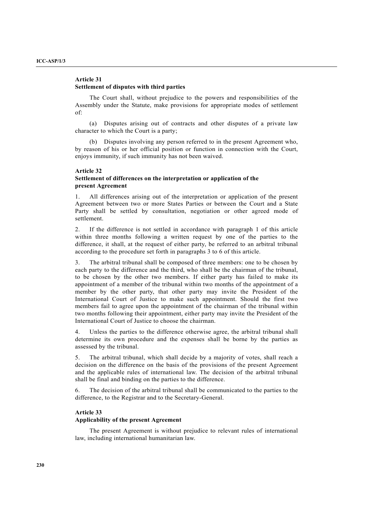### Article 31 Settlement of disputes with third parties

The Court shall, without prejudice to the powers and responsibilities of the Assembly under the Statute, make provisions for appropriate modes of settlement  $\alpha$ f

(a) Disputes arising out of contracts and other disputes of a private law character to which the Court is a party;

(b) Disputes involving any person referred to in the present Agreement who, by reason of his or her official position or function in connection with the Court, enjoys immunity, if such immunity has not been waived.

### Article 32

### Settlement of differences on the interpretation or application of the present Agreement

All differences arising out of the interpretation or application of the present  $\mathbf{1}$ Agreement between two or more States Parties or between the Court and a State Party shall be settled by consultation, negotiation or other agreed mode of settlement.

If the difference is not settled in accordance with paragraph 1 of this article  $\mathcal{D}$ within three months following a written request by one of the parties to the difference, it shall, at the request of either party, be referred to an arbitral tribunal according to the procedure set forth in paragraphs 3 to 6 of this article.

The arbitral tribunal shall be composed of three members: one to be chosen by  $\mathcal{L}$ each party to the difference and the third, who shall be the chairman of the tribunal, to be chosen by the other two members. If either party has failed to make its appointment of a member of the tribunal within two months of the appointment of a member by the other party, that other party may invite the President of the International Court of Justice to make such appointment. Should the first two members fail to agree upon the appointment of the chairman of the tribunal within two months following their appointment, either party may invite the President of the International Court of Justice to choose the chairman.

Unless the parties to the difference otherwise agree, the arbitral tribunal shall  $\overline{4}$ determine its own procedure and the expenses shall be borne by the parties as assessed by the tribunal.

5. The arbitral tribunal, which shall decide by a majority of votes, shall reach a decision on the difference on the basis of the provisions of the present Agreement and the applicable rules of international law. The decision of the arbitral tribunal shall be final and binding on the parties to the difference.

The decision of the arbitral tribunal shall be communicated to the parties to the 6 difference, to the Registrar and to the Secretary-General.

### Article 33

### Applicability of the present Agreement

The present Agreement is without prejudice to relevant rules of international law, including international humanitarian law.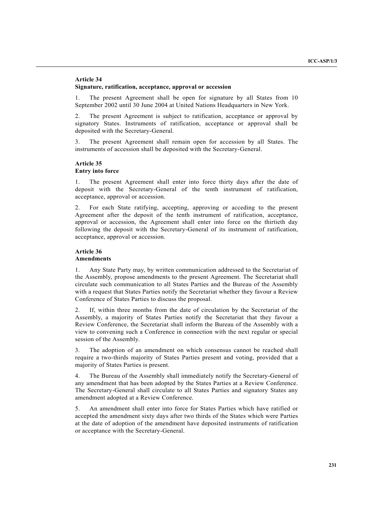### Article 34 Signature, ratification, acceptance, approval or accession

The present Agreement shall be open for signature by all States from 10  $1<sub>1</sub>$ September 2002 until 30 June 2004 at United Nations Headquarters in New York.

 $2.$ The present Agreement is subject to ratification, acceptance or approval by signatory States. Instruments of ratification, acceptance or approval shall be deposited with the Secretary-General.

The present Agreement shall remain open for accession by all States. The  $3<sub>1</sub>$ instruments of accession shall be deposited with the Secretary-General.

### Article 35 **Entry into force**

The present Agreement shall enter into force thirty days after the date of  $\mathbf{1}$ deposit with the Secretary-General of the tenth instrument of ratification, acceptance, approval or accession.

For each State ratifying, accepting, approving or acceding to the present  $2^{\circ}$ Agreement after the deposit of the tenth instrument of ratification, acceptance, approval or accession, the Agreement shall enter into force on the thirtieth day following the deposit with the Secretary-General of its instrument of ratification, acceptance, approval or accession.

### Article 36 **Amendments**

Any State Party may, by written communication addressed to the Secretariat of  $\mathbf{1}$ the Assembly, propose amendments to the present Agreement. The Secretariat shall circulate such communication to all States Parties and the Bureau of the Assembly with a request that States Parties notify the Secretariat whether they favour a Review Conference of States Parties to discuss the proposal.

If, within three months from the date of circulation by the Secretariat of the 2. Assembly, a majority of States Parties notify the Secretariat that they favour a Review Conference, the Secretariat shall inform the Bureau of the Assembly with a view to convening such a Conference in connection with the next regular or special session of the Assembly.

The adoption of an amendment on which consensus cannot be reached shall  $\mathcal{F}$ require a two-thirds majority of States Parties present and voting, provided that a majority of States Parties is present.

 $4.$ The Bureau of the Assembly shall immediately notify the Secretary-General of any amendment that has been adopted by the States Parties at a Review Conference. The Secretary-General shall circulate to all States Parties and signatory States any amendment adopted at a Review Conference.

5. An amendment shall enter into force for States Parties which have ratified or accepted the amendment sixty days after two thirds of the States which were Parties at the date of adoption of the amendment have deposited instruments of ratification or acceptance with the Secretary-General.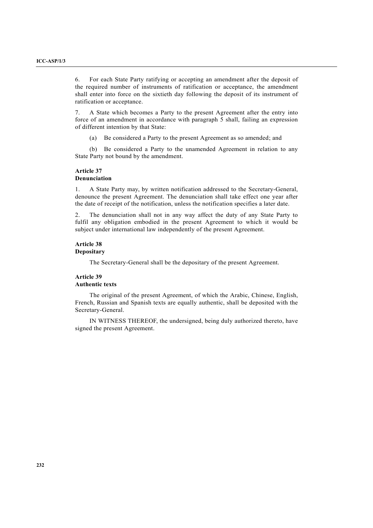For each State Party ratifying or accepting an amendment after the deposit of 6. the required number of instruments of ratification or acceptance, the amendment shall enter into force on the sixtieth day following the deposit of its instrument of ratification or acceptance.

7. A State which becomes a Party to the present Agreement after the entry into force of an amendment in accordance with paragraph 5 shall, failing an expression of different intention by that State:

Be considered a Party to the present Agreement as so amended; and  $(a)$ 

(b) Be considered a Party to the unamended Agreement in relation to any State Party not bound by the amendment.

### **Article 37**

### **Denunciation**

A State Party may, by written notification addressed to the Secretary-General,  $\mathbf{1}$ . denounce the present Agreement. The denunciation shall take effect one year after the date of receipt of the notification, unless the notification specifies a later date.

The denunciation shall not in any way affect the duty of any State Party to  $2.$ fulfil any obligation embodied in the present Agreement to which it would be subject under international law independently of the present Agreement.

#### **Article 38 Depositary**

The Secretary-General shall be the depositary of the present Agreement.

### **Article 39**

### **Authentic texts**

The original of the present Agreement, of which the Arabic, Chinese, English, French, Russian and Spanish texts are equally authentic, shall be deposited with the Secretary-General.

IN WITNESS THEREOF, the undersigned, being duly authorized thereto, have signed the present Agreement.